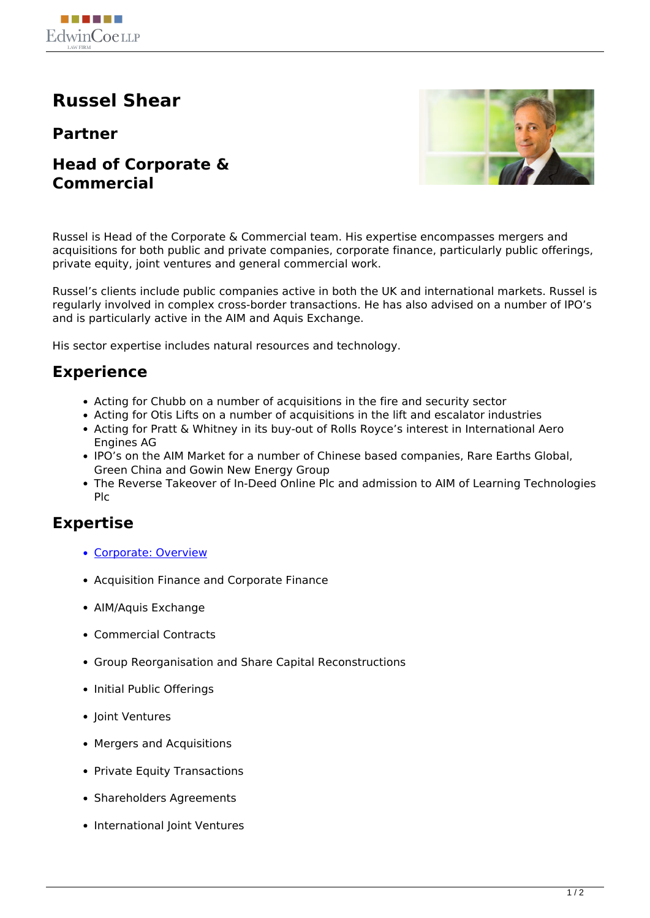

# **Russel Shear**

#### **Partner**

**Head of Corporate & Commercial**



Russel is Head of the Corporate & Commercial team. His expertise encompasses mergers and acquisitions for both public and private companies, corporate finance, particularly public offerings, private equity, joint ventures and general commercial work.

Russel's clients include public companies active in both the UK and international markets. Russel is regularly involved in complex cross-border transactions. He has also advised on a number of IPO's and is particularly active in the AIM and Aquis Exchange.

His sector expertise includes natural resources and technology.

### **Experience**

- Acting for Chubb on a number of acquisitions in the fire and security sector
- Acting for Otis Lifts on a number of acquisitions in the lift and escalator industries
- Acting for Pratt & Whitney in its buy-out of Rolls Royce's interest in International Aero Engines AG
- IPO's on the AIM Market for a number of Chinese based companies, Rare Earths Global, Green China and Gowin New Energy Group
- The Reverse Takeover of In-Deed Online Plc and admission to AIM of Learning Technologies Plc

#### **Expertise**

- [Corporate: Overview](http://www.edwincoe.com/our-expertise/corporate-commercial/)
- Acquisition Finance and Corporate Finance
- AIM/Aquis Exchange
- Commercial Contracts
- Group Reorganisation and Share Capital Reconstructions
- Initial Public Offerings
- Ioint Ventures
- Mergers and Acquisitions
- Private Equity Transactions
- Shareholders Agreements
- International Joint Ventures